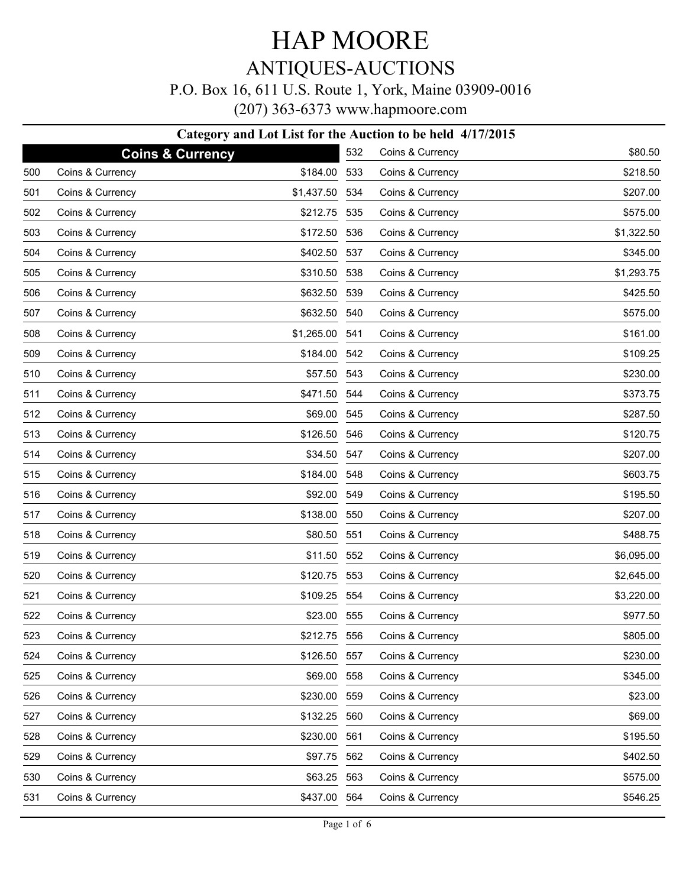# HAP MOORE

### ANTIQUES-AUCTIONS

#### P.O. Box 16, 611 U.S. Route 1, York, Maine 03909-0016

|     | (207) 363-6373 www.hapmoore.com |                                                            |     |                  |            |  |
|-----|---------------------------------|------------------------------------------------------------|-----|------------------|------------|--|
|     |                                 | Category and Lot List for the Auction to be held 4/17/2015 |     |                  |            |  |
|     |                                 | <b>Coins &amp; Currency</b>                                | 532 | Coins & Currency | \$80.50    |  |
| 500 | Coins & Currency                | \$184.00                                                   | 533 | Coins & Currency | \$218.50   |  |
| 501 | Coins & Currency                | \$1,437.50                                                 | 534 | Coins & Currency | \$207.00   |  |
| 502 | Coins & Currency                | \$212.75                                                   | 535 | Coins & Currency | \$575.00   |  |
| 503 | Coins & Currency                | \$172.50                                                   | 536 | Coins & Currency | \$1,322.50 |  |
| 504 | Coins & Currency                | \$402.50                                                   | 537 | Coins & Currency | \$345.00   |  |
| 505 | Coins & Currency                | \$310.50                                                   | 538 | Coins & Currency | \$1,293.75 |  |
| 506 | Coins & Currency                | \$632.50                                                   | 539 | Coins & Currency | \$425.50   |  |
| 507 | Coins & Currency                | \$632.50                                                   | 540 | Coins & Currency | \$575.00   |  |
| 508 | Coins & Currency                | \$1,265.00                                                 | 541 | Coins & Currency | \$161.00   |  |
| 509 | Coins & Currency                | \$184.00                                                   | 542 | Coins & Currency | \$109.25   |  |
| 510 | Coins & Currency                | \$57.50                                                    | 543 | Coins & Currency | \$230.00   |  |
| 511 | Coins & Currency                | \$471.50                                                   | 544 | Coins & Currency | \$373.75   |  |
| 512 | Coins & Currency                | \$69.00                                                    | 545 | Coins & Currency | \$287.50   |  |
| 513 | Coins & Currency                | \$126.50                                                   | 546 | Coins & Currency | \$120.75   |  |
| 514 | Coins & Currency                | \$34.50                                                    | 547 | Coins & Currency | \$207.00   |  |
| 515 | Coins & Currency                | \$184.00                                                   | 548 | Coins & Currency | \$603.75   |  |
| 516 | Coins & Currency                | \$92.00                                                    | 549 | Coins & Currency | \$195.50   |  |
| 517 | Coins & Currency                | \$138.00                                                   | 550 | Coins & Currency | \$207.00   |  |
| 518 | Coins & Currency                | \$80.50                                                    | 551 | Coins & Currency | \$488.75   |  |
| 519 | Coins & Currency                | \$11.50                                                    | 552 | Coins & Currency | \$6,095.00 |  |
| 520 | Coins & Currency                | \$120.75                                                   | 553 | Coins & Currency | \$2,645.00 |  |
| 521 | Coins & Currency                | \$109.25                                                   | 554 | Coins & Currency | \$3,220.00 |  |
| 522 | Coins & Currency                | \$23.00                                                    | 555 | Coins & Currency | \$977.50   |  |
| 523 | Coins & Currency                | \$212.75                                                   | 556 | Coins & Currency | \$805.00   |  |
| 524 | Coins & Currency                | \$126.50                                                   | 557 | Coins & Currency | \$230.00   |  |
| 525 | Coins & Currency                | \$69.00                                                    | 558 | Coins & Currency | \$345.00   |  |
| 526 | Coins & Currency                | \$230.00                                                   | 559 | Coins & Currency | \$23.00    |  |
| 527 | Coins & Currency                | \$132.25                                                   | 560 | Coins & Currency | \$69.00    |  |
| 528 | Coins & Currency                | \$230.00 561                                               |     | Coins & Currency | \$195.50   |  |

562 Coins & Currency \$402.50 563 Coins & Currency \$575.00 564 Coins & Currency \$546.25

529 Coins & Currency \$97.75 530 Coins & Currency \$63.25 531 Coins & Currency \$437.00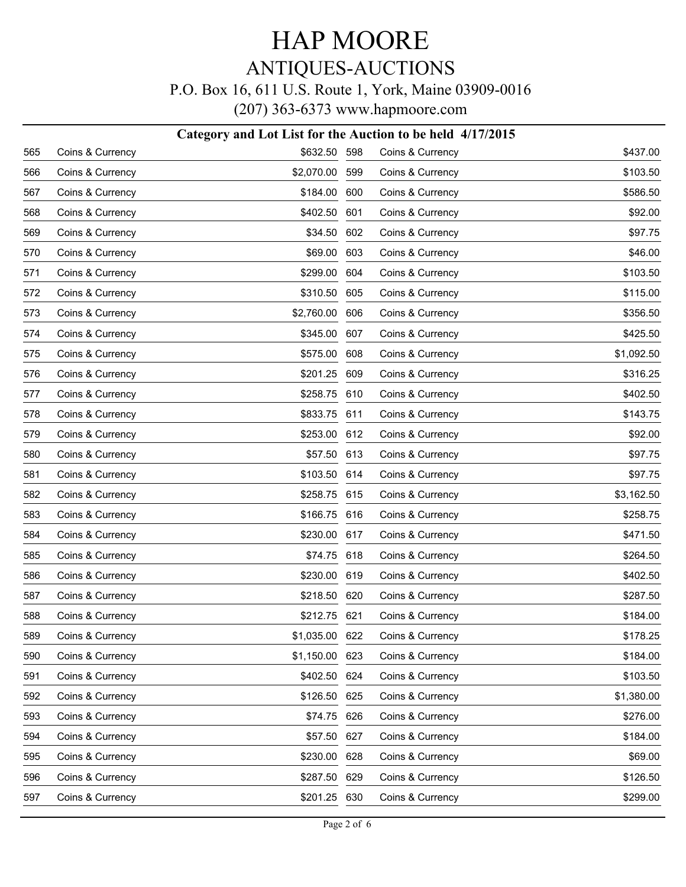#### P.O. Box 16, 611 U.S. Route 1, York, Maine 03909-0016

(207) 363-6373 www.hapmoore.com

#### **Category and Lot List for the Auction to be held 4/17/2015**

| 565 | Coins & Currency | \$632.50 598   |     | Coins & Currency | \$437.00   |
|-----|------------------|----------------|-----|------------------|------------|
| 566 | Coins & Currency | \$2,070.00     | 599 | Coins & Currency | \$103.50   |
| 567 | Coins & Currency | \$184.00       | 600 | Coins & Currency | \$586.50   |
| 568 | Coins & Currency | \$402.50       | 601 | Coins & Currency | \$92.00    |
| 569 | Coins & Currency | \$34.50        | 602 | Coins & Currency | \$97.75    |
| 570 | Coins & Currency | \$69.00        | 603 | Coins & Currency | \$46.00    |
| 571 | Coins & Currency | \$299.00       | 604 | Coins & Currency | \$103.50   |
| 572 | Coins & Currency | \$310.50       | 605 | Coins & Currency | \$115.00   |
| 573 | Coins & Currency | \$2,760.00     | 606 | Coins & Currency | \$356.50   |
| 574 | Coins & Currency | \$345.00       | 607 | Coins & Currency | \$425.50   |
| 575 | Coins & Currency | \$575.00       | 608 | Coins & Currency | \$1,092.50 |
| 576 | Coins & Currency | \$201.25       | 609 | Coins & Currency | \$316.25   |
| 577 | Coins & Currency | \$258.75       | 610 | Coins & Currency | \$402.50   |
| 578 | Coins & Currency | \$833.75       | 611 | Coins & Currency | \$143.75   |
| 579 | Coins & Currency | \$253.00       | 612 | Coins & Currency | \$92.00    |
| 580 | Coins & Currency | \$57.50        | 613 | Coins & Currency | \$97.75    |
| 581 | Coins & Currency | \$103.50       | 614 | Coins & Currency | \$97.75    |
| 582 | Coins & Currency | \$258.75       | 615 | Coins & Currency | \$3,162.50 |
| 583 | Coins & Currency | \$166.75       | 616 | Coins & Currency | \$258.75   |
| 584 | Coins & Currency | \$230.00       | 617 | Coins & Currency | \$471.50   |
| 585 | Coins & Currency | \$74.75        | 618 | Coins & Currency | \$264.50   |
| 586 | Coins & Currency | \$230.00       | 619 | Coins & Currency | \$402.50   |
| 587 | Coins & Currency | \$218.50       | 620 | Coins & Currency | \$287.50   |
| 588 | Coins & Currency | \$212.75       | 621 | Coins & Currency | \$184.00   |
| 589 | Coins & Currency | \$1,035.00 622 |     | Coins & Currency | \$178.25   |
| 590 | Coins & Currency | \$1,150.00 623 |     | Coins & Currency | \$184.00   |
| 591 | Coins & Currency | \$402.50 624   |     | Coins & Currency | \$103.50   |
| 592 | Coins & Currency | \$126.50       | 625 | Coins & Currency | \$1,380.00 |
| 593 | Coins & Currency | \$74.75        | 626 | Coins & Currency | \$276.00   |
| 594 | Coins & Currency | \$57.50        | 627 | Coins & Currency | \$184.00   |
| 595 | Coins & Currency | \$230.00       | 628 | Coins & Currency | \$69.00    |
| 596 | Coins & Currency | \$287.50       | 629 | Coins & Currency | \$126.50   |
| 597 | Coins & Currency | \$201.25 630   |     | Coins & Currency | \$299.00   |
|     |                  |                |     |                  |            |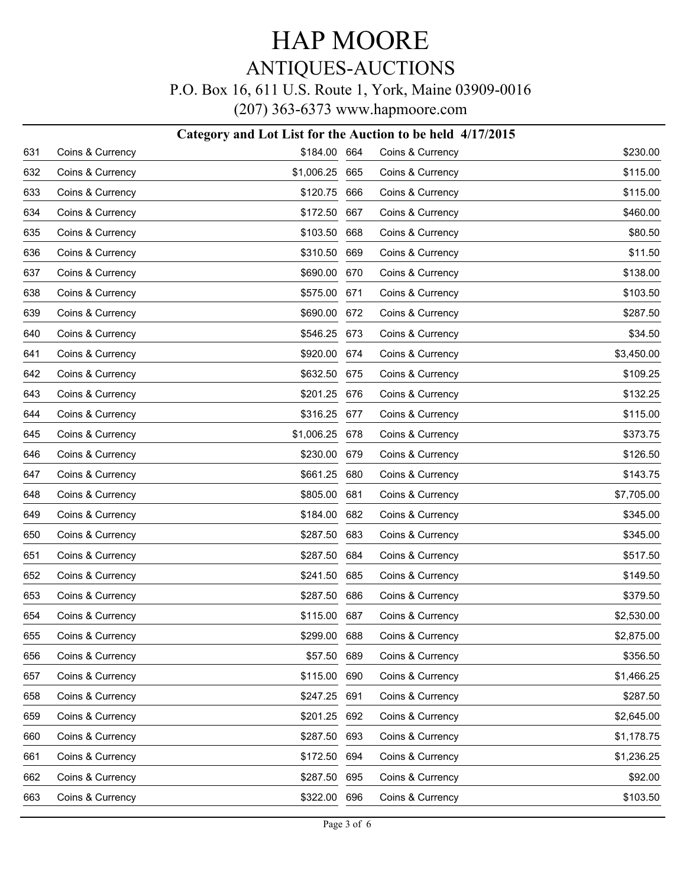#### P.O. Box 16, 611 U.S. Route 1, York, Maine 03909-0016

|     |                  | Category and Lot List for the Auction to be held 4/17/2015 |     |                  |            |
|-----|------------------|------------------------------------------------------------|-----|------------------|------------|
| 631 | Coins & Currency | \$184.00 664                                               |     | Coins & Currency | \$230.00   |
| 632 | Coins & Currency | \$1,006.25 665                                             |     | Coins & Currency | \$115.00   |
| 633 | Coins & Currency | \$120.75 666                                               |     | Coins & Currency | \$115.00   |
| 634 | Coins & Currency | \$172.50 667                                               |     | Coins & Currency | \$460.00   |
| 635 | Coins & Currency | \$103.50 668                                               |     | Coins & Currency | \$80.50    |
| 636 | Coins & Currency | \$310.50                                                   | 669 | Coins & Currency | \$11.50    |
| 637 | Coins & Currency | \$690.00 670                                               |     | Coins & Currency | \$138.00   |
| 638 | Coins & Currency | \$575.00 671                                               |     | Coins & Currency | \$103.50   |
| 639 | Coins & Currency | \$690.00 672                                               |     | Coins & Currency | \$287.50   |
| 640 | Coins & Currency | \$546.25 673                                               |     | Coins & Currency | \$34.50    |
| 641 | Coins & Currency | \$920.00 674                                               |     | Coins & Currency | \$3,450.00 |
| 642 | Coins & Currency | \$632.50 675                                               |     | Coins & Currency | \$109.25   |
| 643 | Coins & Currency | \$201.25 676                                               |     | Coins & Currency | \$132.25   |
| 644 | Coins & Currency | \$316.25 677                                               |     | Coins & Currency | \$115.00   |
| 645 | Coins & Currency | \$1,006.25 678                                             |     | Coins & Currency | \$373.75   |
| 646 | Coins & Currency | \$230.00 679                                               |     | Coins & Currency | \$126.50   |
| 647 | Coins & Currency | \$661.25 680                                               |     | Coins & Currency | \$143.75   |
| 648 | Coins & Currency | \$805.00                                                   | 681 | Coins & Currency | \$7,705.00 |
| 649 | Coins & Currency | \$184.00 682                                               |     | Coins & Currency | \$345.00   |
| 650 | Coins & Currency | \$287.50                                                   | 683 | Coins & Currency | \$345.00   |
| 651 | Coins & Currency | \$287.50 684                                               |     | Coins & Currency | \$517.50   |
| 652 | Coins & Currency | \$241.50                                                   | 685 | Coins & Currency | \$149.50   |
| 653 | Coins & Currency | \$287.50 686                                               |     | Coins & Currency | \$379.50   |
| 654 | Coins & Currency | \$115.00 687                                               |     | Coins & Currency | \$2,530.00 |
| 655 | Coins & Currency | \$299.00 688                                               |     | Coins & Currency | \$2,875.00 |
| 656 | Coins & Currency | \$57.50 689                                                |     | Coins & Currency | \$356.50   |
| 657 | Coins & Currency | \$115.00                                                   | 690 | Coins & Currency | \$1,466.25 |
| 658 | Coins & Currency | \$247.25 691                                               |     | Coins & Currency | \$287.50   |
| 659 | Coins & Currency | \$201.25 692                                               |     | Coins & Currency | \$2,645.00 |
| 660 | Coins & Currency | \$287.50 693                                               |     | Coins & Currency | \$1,178.75 |
| 661 | Coins & Currency | \$172.50 694                                               |     | Coins & Currency | \$1,236.25 |
| 662 | Coins & Currency | \$287.50 695                                               |     | Coins & Currency | \$92.00    |
| 663 | Coins & Currency | \$322.00 696                                               |     | Coins & Currency | \$103.50   |
|     |                  |                                                            |     |                  |            |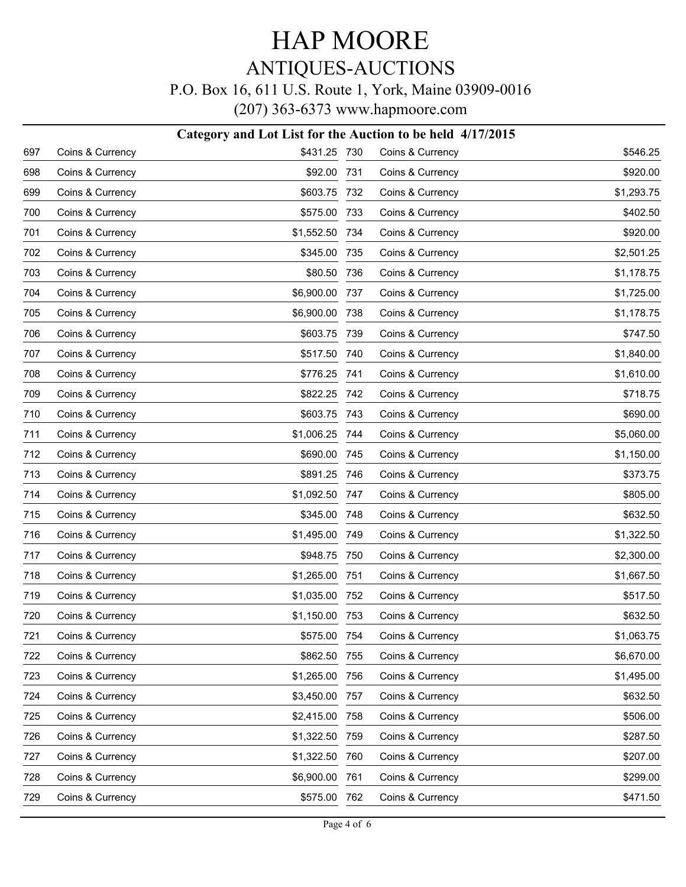#### P.O. Box 16, 611 U.S. Route 1, York, Maine 03909-0016

|     |                  | Category and Lot List for the Auction to be held 4/17/2015 |       |                  |            |
|-----|------------------|------------------------------------------------------------|-------|------------------|------------|
| 697 | Coins & Currency | \$431.25 730                                               |       | Coins & Currency | \$546.25   |
| 698 | Coins & Currency | \$92.00                                                    | - 731 | Coins & Currency | \$920.00   |
| 699 | Coins & Currency | \$603.75 732                                               |       | Coins & Currency | \$1,293.75 |
| 700 | Coins & Currency | \$575.00                                                   | 733   | Coins & Currency | \$402.50   |
| 701 | Coins & Currency | \$1,552.50                                                 | 734   | Coins & Currency | \$920.00   |
| 702 | Coins & Currency | \$345.00                                                   | 735   | Coins & Currency | \$2,501.25 |
| 703 | Coins & Currency | \$80.50                                                    | 736   | Coins & Currency | \$1,178.75 |
| 704 | Coins & Currency | \$6,900.00                                                 | 737   | Coins & Currency | \$1,725.00 |
| 705 | Coins & Currency | \$6,900.00                                                 | 738   | Coins & Currency | \$1,178.75 |
| 706 | Coins & Currency | \$603.75 739                                               |       | Coins & Currency | \$747.50   |
| 707 | Coins & Currency | \$517.50 740                                               |       | Coins & Currency | \$1,840.00 |
| 708 | Coins & Currency | \$776.25 741                                               |       | Coins & Currency | \$1,610.00 |
| 709 | Coins & Currency | \$822.25 742                                               |       | Coins & Currency | \$718.75   |
| 710 | Coins & Currency | \$603.75 743                                               |       | Coins & Currency | \$690.00   |
| 711 | Coins & Currency | \$1,006.25 744                                             |       | Coins & Currency | \$5,060.00 |
| 712 | Coins & Currency | \$690.00 745                                               |       | Coins & Currency | \$1,150.00 |
| 713 | Coins & Currency | \$891.25 746                                               |       | Coins & Currency | \$373.75   |
| 714 | Coins & Currency | \$1,092.50 747                                             |       | Coins & Currency | \$805.00   |
| 715 | Coins & Currency | \$345.00 748                                               |       | Coins & Currency | \$632.50   |
| 716 | Coins & Currency | \$1,495.00                                                 | 749   | Coins & Currency | \$1,322.50 |
| 717 | Coins & Currency | \$948.75 750                                               |       | Coins & Currency | \$2,300.00 |
| 718 | Coins & Currency | \$1,265.00                                                 | 751   | Coins & Currency | \$1,667.50 |
| 719 | Coins & Currency | \$1,035.00                                                 | 752   | Coins & Currency | \$517.50   |
| 720 | Coins & Currency | \$1,150.00 753                                             |       | Coins & Currency | \$632.50   |
| 721 | Coins & Currency | \$575.00 754                                               |       | Coins & Currency | \$1,063.75 |
| 722 | Coins & Currency | \$862.50                                                   | 755   | Coins & Currency | \$6,670.00 |
| 723 | Coins & Currency | \$1,265.00                                                 | 756   | Coins & Currency | \$1,495.00 |
| 724 | Coins & Currency | \$3,450.00                                                 | 757   | Coins & Currency | \$632.50   |
| 725 | Coins & Currency | \$2,415.00                                                 | 758   | Coins & Currency | \$506.00   |
| 726 | Coins & Currency | \$1,322.50                                                 | 759   | Coins & Currency | \$287.50   |
| 727 | Coins & Currency | \$1,322.50                                                 | 760   | Coins & Currency | \$207.00   |
| 728 | Coins & Currency | \$6,900.00                                                 | 761   | Coins & Currency | \$299.00   |
| 729 | Coins & Currency | \$575.00 762                                               |       | Coins & Currency | \$471.50   |
|     |                  |                                                            |       |                  |            |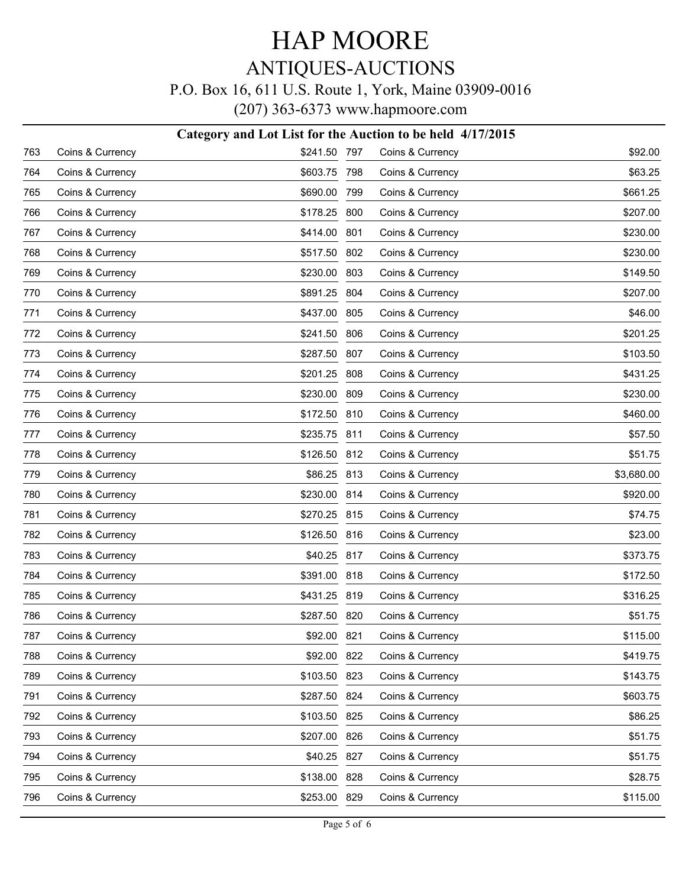#### P.O. Box 16, 611 U.S. Route 1, York, Maine 03909-0016

|     |                  | Category and Lot List for the Auction to be held 4/17/2015 |                  |            |
|-----|------------------|------------------------------------------------------------|------------------|------------|
| 763 | Coins & Currency | \$241.50 797                                               | Coins & Currency | \$92.00    |
| 764 | Coins & Currency | \$603.75 798                                               | Coins & Currency | \$63.25    |
| 765 | Coins & Currency | \$690.00 799                                               | Coins & Currency | \$661.25   |
| 766 | Coins & Currency | \$178.25 800                                               | Coins & Currency | \$207.00   |
| 767 | Coins & Currency | \$414.00 801                                               | Coins & Currency | \$230.00   |
| 768 | Coins & Currency | \$517.50 802                                               | Coins & Currency | \$230.00   |
| 769 | Coins & Currency | \$230.00 803                                               | Coins & Currency | \$149.50   |
| 770 | Coins & Currency | \$891.25 804                                               | Coins & Currency | \$207.00   |
| 771 | Coins & Currency | \$437.00 805                                               | Coins & Currency | \$46.00    |
| 772 | Coins & Currency | \$241.50 806                                               | Coins & Currency | \$201.25   |
| 773 | Coins & Currency | \$287.50 807                                               | Coins & Currency | \$103.50   |
| 774 | Coins & Currency | \$201.25 808                                               | Coins & Currency | \$431.25   |
| 775 | Coins & Currency | \$230.00 809                                               | Coins & Currency | \$230.00   |
| 776 | Coins & Currency | \$172.50 810                                               | Coins & Currency | \$460.00   |
| 777 | Coins & Currency | \$235.75 811                                               | Coins & Currency | \$57.50    |
| 778 | Coins & Currency | \$126.50 812                                               | Coins & Currency | \$51.75    |
| 779 | Coins & Currency | \$86.25 813                                                | Coins & Currency | \$3,680.00 |
| 780 | Coins & Currency | \$230.00 814                                               | Coins & Currency | \$920.00   |
| 781 | Coins & Currency | \$270.25 815                                               | Coins & Currency | \$74.75    |
| 782 | Coins & Currency | \$126.50 816                                               | Coins & Currency | \$23.00    |
| 783 | Coins & Currency | \$40.25 817                                                | Coins & Currency | \$373.75   |
| 784 | Coins & Currency | \$391.00 818                                               | Coins & Currency | \$172.50   |
| 785 | Coins & Currency | \$431.25 819                                               | Coins & Currency | \$316.25   |
| 786 | Coins & Currency | \$287.50 820                                               | Coins & Currency | \$51.75    |
| 787 | Coins & Currency | \$92.00 821                                                | Coins & Currency | \$115.00   |
| 788 | Coins & Currency | \$92.00 822                                                | Coins & Currency | \$419.75   |
| 789 | Coins & Currency | \$103.50 823                                               | Coins & Currency | \$143.75   |
| 791 | Coins & Currency | \$287.50 824                                               | Coins & Currency | \$603.75   |
| 792 | Coins & Currency | \$103.50 825                                               | Coins & Currency | \$86.25    |
| 793 | Coins & Currency | \$207.00 826                                               | Coins & Currency | \$51.75    |
| 794 | Coins & Currency | \$40.25 827                                                | Coins & Currency | \$51.75    |
| 795 | Coins & Currency | \$138.00 828                                               | Coins & Currency | \$28.75    |
| 796 | Coins & Currency | \$253.00 829                                               | Coins & Currency | \$115.00   |
|     |                  |                                                            |                  |            |